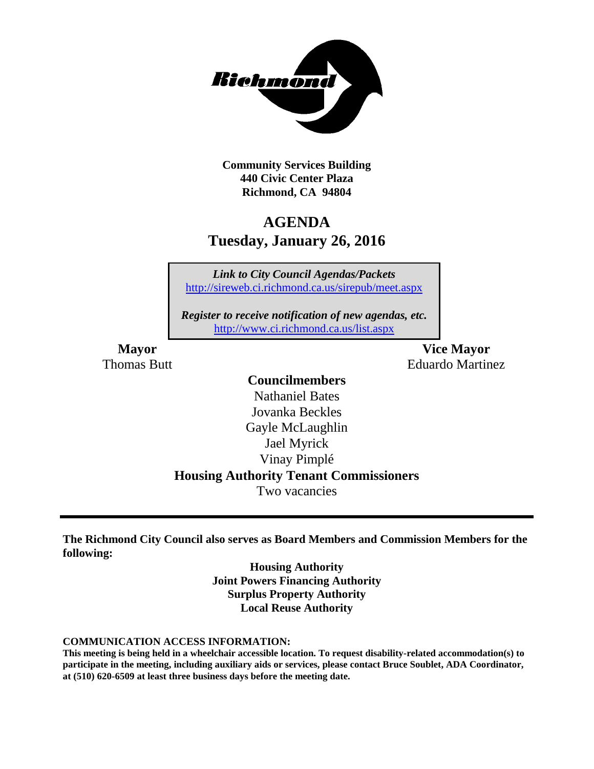

**Community Services Building 440 Civic Center Plaza Richmond, CA 94804**

# **AGENDA Tuesday, January 26, 2016**

*Link to City Council Agendas/Packets* <http://sireweb.ci.richmond.ca.us/sirepub/meet.aspx>

*Register to receive notification of new agendas, etc.* <http://www.ci.richmond.ca.us/list.aspx>

**Mayor Vice Mayor** Thomas Butt **Eduardo Martinez** 

# **Councilmembers**

Nathaniel Bates Jovanka Beckles Gayle McLaughlin Jael Myrick Vinay Pimplé **Housing Authority Tenant Commissioners** Two vacancies

**The Richmond City Council also serves as Board Members and Commission Members for the following:**

> **Housing Authority Joint Powers Financing Authority Surplus Property Authority Local Reuse Authority**

**COMMUNICATION ACCESS INFORMATION:**

**This meeting is being held in a wheelchair accessible location. To request disability-related accommodation(s) to participate in the meeting, including auxiliary aids or services, please contact Bruce Soublet, ADA Coordinator, at (510) 620-6509 at least three business days before the meeting date.**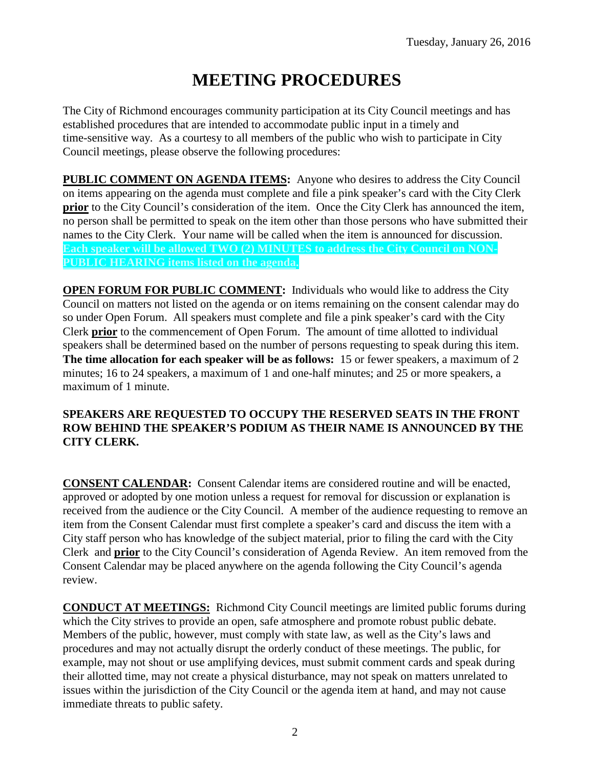# **MEETING PROCEDURES**

The City of Richmond encourages community participation at its City Council meetings and has established procedures that are intended to accommodate public input in a timely and time-sensitive way. As a courtesy to all members of the public who wish to participate in City Council meetings, please observe the following procedures:

**PUBLIC COMMENT ON AGENDA ITEMS:** Anyone who desires to address the City Council on items appearing on the agenda must complete and file a pink speaker's card with the City Clerk **prior** to the City Council's consideration of the item. Once the City Clerk has announced the item, no person shall be permitted to speak on the item other than those persons who have submitted their names to the City Clerk. Your name will be called when the item is announced for discussion. **Each speaker will be allowed TWO (2) MINUTES to address the City Council on NON-PUBLIC HEARING items listed on the agenda.**

**OPEN FORUM FOR PUBLIC COMMENT:** Individuals who would like to address the City Council on matters not listed on the agenda or on items remaining on the consent calendar may do so under Open Forum. All speakers must complete and file a pink speaker's card with the City Clerk **prior** to the commencement of Open Forum. The amount of time allotted to individual speakers shall be determined based on the number of persons requesting to speak during this item. **The time allocation for each speaker will be as follows:** 15 or fewer speakers, a maximum of 2 minutes; 16 to 24 speakers, a maximum of 1 and one-half minutes; and 25 or more speakers, a maximum of 1 minute.

## **SPEAKERS ARE REQUESTED TO OCCUPY THE RESERVED SEATS IN THE FRONT ROW BEHIND THE SPEAKER'S PODIUM AS THEIR NAME IS ANNOUNCED BY THE CITY CLERK.**

**CONSENT CALENDAR:** Consent Calendar items are considered routine and will be enacted, approved or adopted by one motion unless a request for removal for discussion or explanation is received from the audience or the City Council. A member of the audience requesting to remove an item from the Consent Calendar must first complete a speaker's card and discuss the item with a City staff person who has knowledge of the subject material, prior to filing the card with the City Clerk and **prior** to the City Council's consideration of Agenda Review. An item removed from the Consent Calendar may be placed anywhere on the agenda following the City Council's agenda review.

**CONDUCT AT MEETINGS:** Richmond City Council meetings are limited public forums during which the City strives to provide an open, safe atmosphere and promote robust public debate. Members of the public, however, must comply with state law, as well as the City's laws and procedures and may not actually disrupt the orderly conduct of these meetings. The public, for example, may not shout or use amplifying devices, must submit comment cards and speak during their allotted time, may not create a physical disturbance, may not speak on matters unrelated to issues within the jurisdiction of the City Council or the agenda item at hand, and may not cause immediate threats to public safety.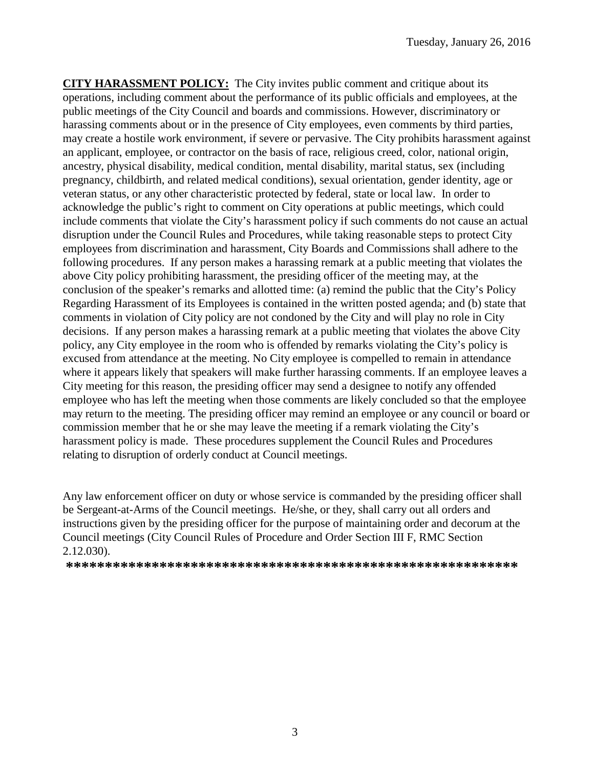**CITY HARASSMENT POLICY:** The City invites public comment and critique about its operations, including comment about the performance of its public officials and employees, at the public meetings of the City Council and boards and commissions. However, discriminatory or harassing comments about or in the presence of City employees, even comments by third parties, may create a hostile work environment, if severe or pervasive. The City prohibits harassment against an applicant, employee, or contractor on the basis of race, religious creed, color, national origin, ancestry, physical disability, medical condition, mental disability, marital status, sex (including pregnancy, childbirth, and related medical conditions), sexual orientation, gender identity, age or veteran status, or any other characteristic protected by federal, state or local law. In order to acknowledge the public's right to comment on City operations at public meetings, which could include comments that violate the City's harassment policy if such comments do not cause an actual disruption under the Council Rules and Procedures, while taking reasonable steps to protect City employees from discrimination and harassment, City Boards and Commissions shall adhere to the following procedures. If any person makes a harassing remark at a public meeting that violates the above City policy prohibiting harassment, the presiding officer of the meeting may, at the conclusion of the speaker's remarks and allotted time: (a) remind the public that the City's Policy Regarding Harassment of its Employees is contained in the written posted agenda; and (b) state that comments in violation of City policy are not condoned by the City and will play no role in City decisions. If any person makes a harassing remark at a public meeting that violates the above City policy, any City employee in the room who is offended by remarks violating the City's policy is excused from attendance at the meeting. No City employee is compelled to remain in attendance where it appears likely that speakers will make further harassing comments. If an employee leaves a City meeting for this reason, the presiding officer may send a designee to notify any offended employee who has left the meeting when those comments are likely concluded so that the employee may return to the meeting. The presiding officer may remind an employee or any council or board or commission member that he or she may leave the meeting if a remark violating the City's harassment policy is made. These procedures supplement the Council Rules and Procedures relating to disruption of orderly conduct at Council meetings.

Any law enforcement officer on duty or whose service is commanded by the presiding officer shall be Sergeant-at-Arms of the Council meetings. He/she, or they, shall carry out all orders and instructions given by the presiding officer for the purpose of maintaining order and decorum at the Council meetings (City Council Rules of Procedure and Order Section III F, RMC Section 2.12.030).

**\*\*\*\*\*\*\*\*\*\*\*\*\*\*\*\*\*\*\*\*\*\*\*\*\*\*\*\*\*\*\*\*\*\*\*\*\*\*\*\*\*\*\*\*\*\*\*\*\*\*\*\*\*\*\*\*\*\***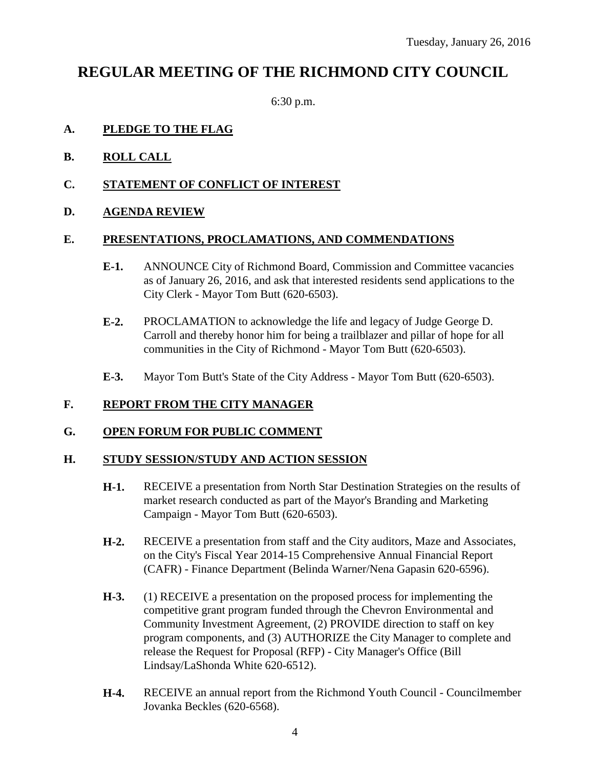# **REGULAR MEETING OF THE RICHMOND CITY COUNCIL**

6:30 p.m.

## **A. PLEDGE TO THE FLAG**

- **B. ROLL CALL**
- **C. STATEMENT OF CONFLICT OF INTEREST**
- **D. AGENDA REVIEW**

#### **E. PRESENTATIONS, PROCLAMATIONS, AND COMMENDATIONS**

- **E-1.** ANNOUNCE City of Richmond Board, Commission and Committee vacancies as of January 26, 2016, and ask that interested residents send applications to the City Clerk - Mayor Tom Butt (620-6503).
- **E-2.** PROCLAMATION to acknowledge the life and legacy of Judge George D. Carroll and thereby honor him for being a trailblazer and pillar of hope for all communities in the City of Richmond - Mayor Tom Butt (620-6503).
- **E-3.** Mayor Tom Butt's State of the City Address Mayor Tom Butt (620-6503).

#### **F. REPORT FROM THE CITY MANAGER**

#### **G. OPEN FORUM FOR PUBLIC COMMENT**

#### **H. STUDY SESSION/STUDY AND ACTION SESSION**

- **H-1.** RECEIVE a presentation from North Star Destination Strategies on the results of market research conducted as part of the Mayor's Branding and Marketing Campaign - Mayor Tom Butt (620-6503).
- **H-2.** RECEIVE a presentation from staff and the City auditors, Maze and Associates, on the City's Fiscal Year 2014-15 Comprehensive Annual Financial Report (CAFR) - Finance Department (Belinda Warner/Nena Gapasin 620-6596).
- **H-3.** (1) RECEIVE a presentation on the proposed process for implementing the competitive grant program funded through the Chevron Environmental and Community Investment Agreement, (2) PROVIDE direction to staff on key program components, and (3) AUTHORIZE the City Manager to complete and release the Request for Proposal (RFP) - City Manager's Office (Bill Lindsay/LaShonda White 620-6512).
- **H-4.** RECEIVE an annual report from the Richmond Youth Council Councilmember Jovanka Beckles (620-6568).